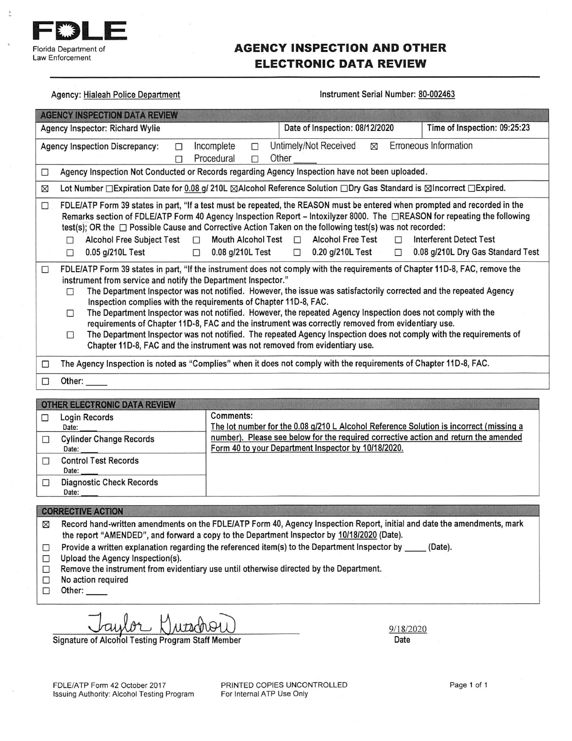

program to the same real

# **AGENCY INSPECTION AND OTHER ELECTRONIC DATA REVIEW**

**Service** 

o an

 $\frac{1}{2}$ 

| Agency: Hialeah Police Department                                                                                                                                                                                                                                                                                                                                                                                                                                                                                                                                                                                                                                                                                                                                                                                                        | Instrument Serial Number: 80-002463                                                                                   |                                                                     |  |  |
|------------------------------------------------------------------------------------------------------------------------------------------------------------------------------------------------------------------------------------------------------------------------------------------------------------------------------------------------------------------------------------------------------------------------------------------------------------------------------------------------------------------------------------------------------------------------------------------------------------------------------------------------------------------------------------------------------------------------------------------------------------------------------------------------------------------------------------------|-----------------------------------------------------------------------------------------------------------------------|---------------------------------------------------------------------|--|--|
| <b>AGENCY INSPECTION DATA REVIEW</b>                                                                                                                                                                                                                                                                                                                                                                                                                                                                                                                                                                                                                                                                                                                                                                                                     |                                                                                                                       |                                                                     |  |  |
| Agency Inspector: Richard Wylie                                                                                                                                                                                                                                                                                                                                                                                                                                                                                                                                                                                                                                                                                                                                                                                                          | Date of Inspection: 08/12/2020<br>Time of Inspection: 09:25:23                                                        |                                                                     |  |  |
| Erroneous Information<br>Untimely/Not Received<br>Incomplete<br>⊠<br><b>Agency Inspection Discrepancy:</b><br>⊓<br>□<br>Procedural<br>Other<br>П<br>$\overline{a}$                                                                                                                                                                                                                                                                                                                                                                                                                                                                                                                                                                                                                                                                       |                                                                                                                       |                                                                     |  |  |
| Agency Inspection Not Conducted or Records regarding Agency Inspection have not been uploaded.<br>$\Box$                                                                                                                                                                                                                                                                                                                                                                                                                                                                                                                                                                                                                                                                                                                                 |                                                                                                                       |                                                                     |  |  |
| ⊠                                                                                                                                                                                                                                                                                                                                                                                                                                                                                                                                                                                                                                                                                                                                                                                                                                        | Lot Number □ Expiration Date for 0.08 g/ 210L ⊠Alcohol Reference Solution □ Dry Gas Standard is ⊠Incorrect □ Expired. |                                                                     |  |  |
| FDLE/ATP Form 39 states in part, "If a test must be repeated, the REASON must be entered when prompted and recorded in the<br>$\Box$<br>Remarks section of FDLE/ATP Form 40 Agency Inspection Report – Intoxilyzer 8000. The □REASON for repeating the following<br>test(s); OR the $\Box$ Possible Cause and Corrective Action Taken on the following test(s) was not recorded:<br>Mouth Alcohol Test $\Box$<br><b>Alcohol Free Subject Test</b><br>$\Box$<br>П<br>0.08 g/210L Test<br>0.05 g/210L Test<br>П<br>$\Box$                                                                                                                                                                                                                                                                                                                  | <b>Alcohol Free Test</b><br>$\Box$<br>0.20 g/210L Test<br>$\Box$<br>П                                                 | <b>Interferent Detect Test</b><br>0.08 g/210L Dry Gas Standard Test |  |  |
| FDLE/ATP Form 39 states in part, "If the instrument does not comply with the requirements of Chapter 11D-8, FAC, remove the<br>$\Box$<br>instrument from service and notify the Department Inspector."<br>The Department Inspector was not notified. However, the issue was satisfactorily corrected and the repeated Agency<br>П<br>Inspection complies with the requirements of Chapter 11D-8, FAC.<br>The Department Inspector was not notified. However, the repeated Agency Inspection does not comply with the<br>□<br>requirements of Chapter 11D-8, FAC and the instrument was correctly removed from evidentiary use.<br>The Department Inspector was not notified. The repeated Agency Inspection does not comply with the requirements of<br>□<br>Chapter 11D-8, FAC and the instrument was not removed from evidentiary use. |                                                                                                                       |                                                                     |  |  |
| The Agency Inspection is noted as "Complies" when it does not comply with the requirements of Chapter 11D-8, FAC.<br>□                                                                                                                                                                                                                                                                                                                                                                                                                                                                                                                                                                                                                                                                                                                   |                                                                                                                       |                                                                     |  |  |
| Other:<br>□                                                                                                                                                                                                                                                                                                                                                                                                                                                                                                                                                                                                                                                                                                                                                                                                                              |                                                                                                                       |                                                                     |  |  |
| OTHER ELECTRONIC DATA REVIEW                                                                                                                                                                                                                                                                                                                                                                                                                                                                                                                                                                                                                                                                                                                                                                                                             |                                                                                                                       |                                                                     |  |  |

| <b>UI HER ELECTRUNIU DATA REVIEW</b>     |                                                                                                                                            |
|------------------------------------------|--------------------------------------------------------------------------------------------------------------------------------------------|
| Login Records<br>Date:                   | Comments:<br>The lot number for the 0.08 g/210 L Alcohol Reference Solution is incorrect (missing a                                        |
| <b>Cylinder Change Records</b><br>Date:  | number). Please see below for the required corrective action and return the amended<br>Form 40 to your Department Inspector by 10/18/2020. |
| <b>Control Test Records</b><br>Date:     |                                                                                                                                            |
| <b>Diagnostic Check Records</b><br>Date: |                                                                                                                                            |
|                                          |                                                                                                                                            |

### **CORRECTIVE ACTION**

Record hand-written amendments on the FDLE/ATP Form 40, Agency Inspection Report, initial and date the amendments, mark  $\boxtimes$ the report "AMENDED", and forward a copy to the Department Inspector by 10/18/2020 (Date).

- Provide a written explanation regarding the referenced item(s) to the Department Inspector by \_\_\_\_\_ (Date).  $\Box$
- Upload the Agency Inspection(s).  $\Box$
- Remove the instrument from evidentiary use until otherwise directed by the Department.  $\Box$
- No action required  $\Box$
- $\Box$ Other:

lor Kutschou

Signature of Alcohol Testing Program Staff Member

 $9/18/2020$ Date

FDLE/ATP Form 42 October 2017 Issuing Authority: Alcohol Testing Program PRINTED COPIES UNCONTROLLED For Internal ATP Use Only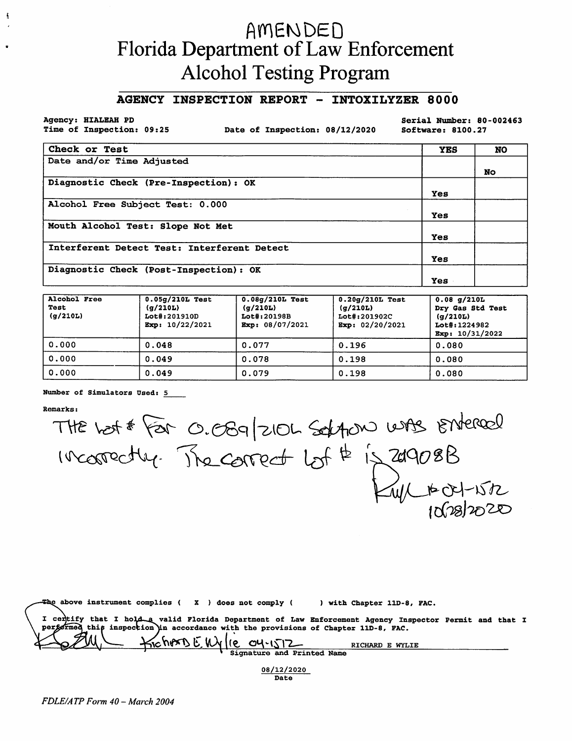# AMENDED Florida Department of Law Enforcement **Alcohol Testing Program**

## AGENCY INSPECTION REPORT - INTOXILYZER 8000

Agency: HIALEAH PD Time of Inspection: 09:25

 $\frac{1}{2}$ 

Date of Inspection: 08/12/2020

Serial Number: 80-002463 Software: 8100.27

| Check or Test                               | <b>YES</b> | <b>NO</b> |
|---------------------------------------------|------------|-----------|
| Date and/or Time Adjusted                   |            |           |
|                                             |            | No.       |
| Diagnostic Check (Pre-Inspection): OK       |            |           |
|                                             | Yes        |           |
| Alcohol Free Subject Test: 0.000            |            |           |
|                                             | Yes        |           |
| Mouth Alcohol Test: Slope Not Met           |            |           |
|                                             | Yes        |           |
| Interferent Detect Test: Interferent Detect |            |           |
|                                             | Yes        |           |
| Diagnostic Check (Post-Inspection): OK      |            |           |
|                                             | Yes        |           |

| Alcohol Free<br>Test<br>(g/210L) | $0.05q/210L$ Test<br>(g/210L)<br>Lot#:201910D<br>Exp: $10/22/2021$ | $0.08q/210L$ Test<br>(q/210L)<br>Lot#:20198B<br>Exp: 08/07/2021 | $0.20q/210L$ Test<br>(q/210L)<br>Lot#:201902C<br>Exp: $02/20/2021$ | $0.08$ g/210L<br>Dry Gas Std Test<br>(g/210L)<br>Lot#:1224982<br>Exp: $10/31/2022$ |
|----------------------------------|--------------------------------------------------------------------|-----------------------------------------------------------------|--------------------------------------------------------------------|------------------------------------------------------------------------------------|
| 0.000                            | 0.048                                                              | 0.077                                                           | 0.196                                                              | 0.080                                                                              |
| 0.000                            | 0.049                                                              | 0.078                                                           | 0.198                                                              | 0.080                                                                              |
| 0.000                            | 0.049                                                              | 0.079                                                           | 0.198                                                              | 0.080                                                                              |

#### Number of Simulators Used: 5

**Remarks:** 

THE LOST FOR O. OSG 210L SOLATON WAS STATERED

| $-$ The above instrument complies ( $X$ ) does not comply (<br>with Chapter 11D-8, FAC.                                                                                                      |  |
|----------------------------------------------------------------------------------------------------------------------------------------------------------------------------------------------|--|
| I certify that I hold a valid Florida Department of Law Enforcement Agency Inspector Permit and that I<br>performed this inspection in accordance with the provisions of Chapter 11D-8, FAC. |  |
| $KichersEWA(e_0Y1512)$<br>RICHARD E WYLIE<br>Signature and Printed Name                                                                                                                      |  |

08/12/2020 Date